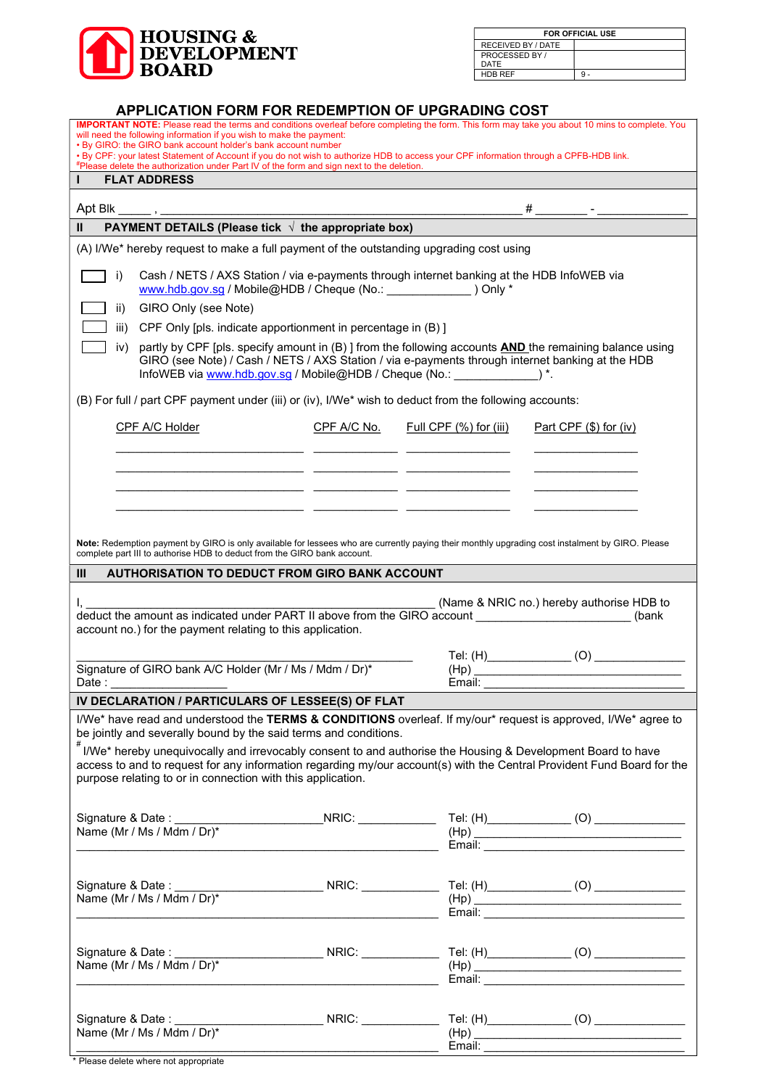

| <b>FOR OFFICIAL USE</b> |  |
|-------------------------|--|
| RECEIVED BY / DATE      |  |
| PROCESSED BY /          |  |
| DATE                    |  |
| <b>HDB REF</b>          |  |

## APPLICATION FORM FOR REDEMPTION OF UPGRADING COST

| IMPORTANT NOTE: Please read the terms and conditions overleaf before completing the form. This form may take you about 10 mins to complete. You<br>will need the following information if you wish to make the payment:<br>. By GIRO: the GIRO bank account holder's bank account number<br>. By CPF: your latest Statement of Account if you do not wish to authorize HDB to access your CPF information through a CPFB-HDB link.<br>#Please delete the authorization under Part IV of the form and sign next to the deletion. |                                               |  |
|---------------------------------------------------------------------------------------------------------------------------------------------------------------------------------------------------------------------------------------------------------------------------------------------------------------------------------------------------------------------------------------------------------------------------------------------------------------------------------------------------------------------------------|-----------------------------------------------|--|
| <b>FLAT ADDRESS</b>                                                                                                                                                                                                                                                                                                                                                                                                                                                                                                             |                                               |  |
|                                                                                                                                                                                                                                                                                                                                                                                                                                                                                                                                 |                                               |  |
| $\frac{\text{Apt Blk}}{H}$ / $\frac{1}{2}$ / $\frac{1}{2}$ / $\frac{1}{2}$ / $\frac{1}{2}$ / $\frac{1}{2}$ / $\frac{1}{2}$ / $\frac{1}{2}$ / $\frac{1}{2}$ / $\frac{1}{2}$ / $\frac{1}{2}$ / $\frac{1}{2}$ / $\frac{1}{2}$ / $\frac{1}{2}$ / $\frac{1}{2}$ / $\frac{1}{2}$ / $\frac{1}{2}$ / $\frac{1}{2}$ /                                                                                                                                                                                                                    |                                               |  |
| (A) I/We* hereby request to make a full payment of the outstanding upgrading cost using                                                                                                                                                                                                                                                                                                                                                                                                                                         |                                               |  |
| Cash / NETS / AXS Station / via e-payments through internet banking at the HDB InfoWEB via<br>i)<br>www.hdb.gov.sg / Mobile@HDB / Cheque (No.: \\concorrelation 2010) Only *<br>GIRO Only (see Note)<br>ii)<br>CPF Only [pls. indicate apportionment in percentage in (B) ]<br>iii)<br>partly by CPF [pls. specify amount in (B)] from the following accounts <b>AND</b> the remaining balance using<br>iv)<br>GIRO (see Note) / Cash / NETS / AXS Station / via e-payments through internet banking at the HDB                 |                                               |  |
| (B) For full / part CPF payment under (iii) or (iv), I/We* wish to deduct from the following accounts:                                                                                                                                                                                                                                                                                                                                                                                                                          |                                               |  |
| CPF A/C Holder<br>CPF A/C No.                                                                                                                                                                                                                                                                                                                                                                                                                                                                                                   | Full CPF (%) for (iii) Part CPF (\$) for (iv) |  |
| <u> 1999 - Jacques Jacques II, president de la propincia de la propincia de la propincia de la propincia de la p</u><br><u> 1999 - Jan James James, maria (h. 1989).</u>                                                                                                                                                                                                                                                                                                                                                        |                                               |  |
| Note: Redemption payment by GIRO is only available for lessees who are currently paying their monthly upgrading cost instalment by GIRO. Please<br>complete part III to authorise HDB to deduct from the GIRO bank account.                                                                                                                                                                                                                                                                                                     |                                               |  |
| <b>AUTHORISATION TO DEDUCT FROM GIRO BANK ACCOUNT</b><br>Ш                                                                                                                                                                                                                                                                                                                                                                                                                                                                      |                                               |  |
| (Name & NRIC no.) hereby authorise HDB to<br>deduct the amount as indicated under PART II above from the GIRO account ______________________(bank<br>account no.) for the payment relating to this application.                                                                                                                                                                                                                                                                                                                 |                                               |  |
| Signature of GIRO bank A/C Holder (Mr / Ms / Mdm / Dr)*                                                                                                                                                                                                                                                                                                                                                                                                                                                                         |                                               |  |
|                                                                                                                                                                                                                                                                                                                                                                                                                                                                                                                                 |                                               |  |
| I/We* have read and understood the TERMS & CONDITIONS overleaf. If my/our* request is approved, I/We* agree to<br>be jointly and severally bound by the said terms and conditions.<br>I/We* hereby unequivocally and irrevocably consent to and authorise the Housing & Development Board to have<br>access to and to request for any information regarding my/our account(s) with the Central Provident Fund Board for the<br>purpose relating to or in connection with this application.                                      |                                               |  |
| Name (Mr / Ms / Mdm / Dr)*<br><u> 1989 - Johann John Stone, markin fan it fjort fan it fjort fan it fjort fan it fjort fan it fjort fan it fjort f</u>                                                                                                                                                                                                                                                                                                                                                                          |                                               |  |
| <u> 2008 - Jan James James James James James James James James James James James James James James James James J</u>                                                                                                                                                                                                                                                                                                                                                                                                            |                                               |  |
| <u> 1989 - Jan James James James James James James James James James James James James James James James James J</u>                                                                                                                                                                                                                                                                                                                                                                                                            |                                               |  |
| Name (Mr / Ms / Mdm / Dr)*                                                                                                                                                                                                                                                                                                                                                                                                                                                                                                      |                                               |  |

<sup>&</sup>lt;sup>'</sup> Please delete where not appropriate